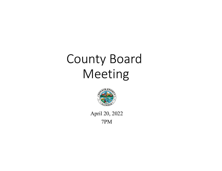# County Board Meeting



April 20, 2022 7PM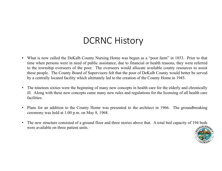## DCRNC History

- What is now called the DeKalb County Nursing Home was begun as <sup>a</sup> "poor farm" in 1853. Prior to that time when persons were in need of public assistance, due to financial or health reasons, they were referred to the township overseers of the poor. The overseers would allocate available county resources to assist these people. The County Board of Supervisors felt that the poor of DeKalb County would better be served by <sup>a</sup> centrally located facility which ultimately led to the creation of the County Home in 1945.
- The nineteen sixties were the beginning of many new concepts in health care for the elderly and chronically ill. Along with these new concepts came many new rules and regulations for the licensing of all health care facilities.
- Plans for an addition to the County Home was presented to the architect in 1966. The groundbreaking ceremony was held at 1:00 p.m. on May 8, 1968.
- • The new structure consisted of <sup>a</sup> ground floor and three stories above that. A total bed capacity of 194 beds were available on three patient units.

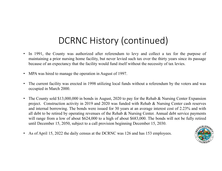# DCRNC History (continued)

- In 1991, the County was authorized after referendum to levy and collect <sup>a</sup> tax for the purpose of maintaining <sup>a</sup> prior nursing home facility, but never levied such tax over the thirty years since its passage because of an expectancy that the facility would fund itself without the necessity of tax levies.
- •MPA was hired to manage the operation in August of 1997.
- • The current facility was erected in 1998 utilizing local funds without <sup>a</sup> referendum by the voters and was occupied in March 2000.
- • The County sold \$13,000,000 in bonds in August, 2020 to pay for the Rehab & Nursing Center Expansion project. Construction activity in 2019 and 2020 was funded with Rehab & Nursing Center cash reserves and internal borrowing. The bonds were issued for 30 years at an average interest cost of 2.23% and with all debt to be retired by operating revenues of the Rehab & Nursing Center. Annual debt service payments will range from a low of about \$624,000 to a high of about \$683,000. The bonds will not be fully retired until December 15, 2050, subject to <sup>a</sup> call provision beginning December 15, 2030.
- •As of April 15, 2022 the daily census at the DCRNC was 126 and has 153 employees.

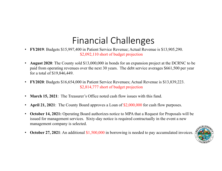# Financial Challenges

- **FY2019**: Budgets \$15,997,400 in Patient Service Revenue; Actual Revenue is \$13,905,290. \$2,092,110 short of budget projection
- • **August 2020**: The County sold \$13,000,000 in bonds for an expansion project at the DCRNC to be paid from operating revenues over the next 30 years. The debt service averages \$661,500 per year for a total of \$19,846,449.
- $\bullet$  **FY2020**: Budgets \$16,654,000 in Patient Service Revenues; Actual Revenue is \$13,839,223. \$2,814,777 short of budget projection
- •**March 15, 2021**: The Treasurer's Office noted cash flow issues with this fund.
- •**April 21, 2021**: The County Board approves a Loan of \$2,000,000 for cash flow purposes.
- $\bullet$  **October 14, 2021:** Operating Board authorizes notice to MPA that a Request for Proposals will be issued for management services. Sixty-day notice is required contractually in the event a new management company is selected.
- •**October 27, 2021**: An additional \$1,500,000 in borrowing is needed to pay accumulated invoices.

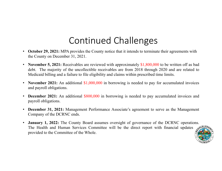## Continued Challenges

- **October 29, 2021:** MPA provides the County notice that it intends to terminate their agreements with the County on December 31, 2021.
- $\bullet$ **November 5, 2021:** Receivables are reviewed with approximately \$1,800,000 to be written off as bad debt. The majority of the uncollectible receivables are from 2018 through 2020 and are related to Medicaid billing and <sup>a</sup> failure to file eligibility and claims within prescribed time limits.
- • **November 2021:** An additional \$1,000,000 in borrowing is needed to pay for accumulated invoices and payroll obligations.
- **December 2021:** An additional \$800,000 in borrowing is needed to pay accumulated invoices and payroll obligations.
- **December 31, 2021:** Management Performance Associate's agreemen<sup>t</sup> to serve as the Management Company of the DCRNC ends.
- $\bullet$ **January 1, 2022:** The County Board assumes oversight of governance of the DCRNC operations. The Health and Human Services Committee will be the direct repor<sup>t</sup> with financial updates provided to the Committee of the Whole.

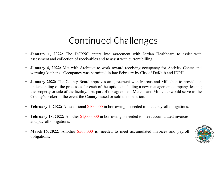## Continued Challenges

- •**January 1, 2022:** The DCRNC enters into agreement with Jordan Healthcare to assist with assessment and collection of receivables and to assist with current billing.
- • **January 4, 2022:** Met with Architect to work toward receiving occupancy for Activity Center and warming kitchens. Occupancy was permitted in late February by City of DeKalb and IDPH.
- • **January 2022:** The County Board approves an agreemen<sup>t</sup> with Marcus and Millichap to provide an understanding of the processes for each of the options including <sup>a</sup> new managemen<sup>t</sup> company, leasing the property or sale of the facility. As par<sup>t</sup> of the agreemen<sup>t</sup> Marcus and Millichap would serve as the County's broker in the event the County leased or sold the operation.
- $\bullet$ **February 4, 2022:** An additional \$100,000 in borrowing is needed to meet payroll obligations.
- $\bullet$ **February 18, 2022:** Another \$1,000,000 in borrowing is needed to meet accumulated invoices and payroll obligations.
- •**March 16, 2022:** Another \$500,000 is needed to meet accumulated invoices and payroll obligations.

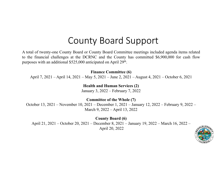#### County Board Support

A total of twenty-one County Board or County Board Committee meetings included agenda items related to the financial challenges at the DCRNC and the County has committed \$6,900,000 for cash flow purposes with an additional \$525,000 anticipated on April 29<sup>th</sup>.

**Finance Committee (6)** 

April 7, 2021 – April 14, 2021 – May 5, 2021 – June 2, 2021 – August 4, 2021 – October 6, 2021

**Health and Human Services (2)** January 3, 2022 – February 7, 2022

**Committee of the Whole (7)**

October 13, 2021 – November 10, 2021 – December 1, 2021 – January 12, 2022 – February 9, 2022 – March 9, 2022 – April 13, 2022

**County Board (6)** April 21, 2021 – October 20, 2021 – December 8, 2021 – January 19, 2022 – March 16, 2022 – April 20, 2022

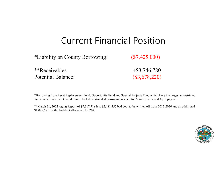#### Current Financial Position

\*Liability on County Borrowing: (\$7,425,000)

\*\*Receivables  $+$ \$3,746,780 Potential Balance:

(\$3,678,220)

\*Borrowing from Asset Replacement Fund, Opportunity Fund and Special Projects Fund which have the largest unrestricted funds, other than the General Fund. Includes estimated borrowing needed for March claims and April payroll.

\*\*March 31, 2022 Aging Report of \$7,317,718 less \$2,481,357 bad debt to be written off from 2017-2020 and an additional \$1,089,581 for the bad debt allowance for 2021.

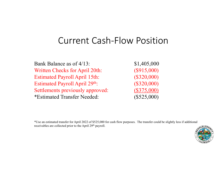#### Current Cash‐Flow Position

Bank Balance as of 4/13: \$1,405,000 Written Checks for April 20th: (\$915,000) Estimated Payroll April 15th: (\$320,000) Estimated Payroll April 29<sup>th</sup>: (\$320,000) Settlements previously approved: (\$375,000) \*Estimated Transfer Needed: (\$525,000)

\*Use an estimated transfer for April 2022 of \$525,000 for cash flow purposes. The transfer could be slightly less if additional receivables are collected prior to the April 29<sup>th</sup> payroll.

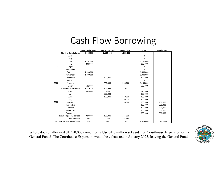#### Cash Flow Borrowing

|                             |                              | <b>Asset Replacement</b> | Opportunity Fund | <b>Special Projects</b> | Total     | Unallocated |
|-----------------------------|------------------------------|--------------------------|------------------|-------------------------|-----------|-------------|
|                             | <b>Starting Cash Balance</b> | 6,430,713                | 2,102,643        | 1,219,177               |           |             |
|                             | April                        |                          |                  |                         | 0         |             |
|                             | May                          |                          |                  |                         | 0         |             |
|                             | June                         | 1,101,000                |                  |                         | 1,101,000 |             |
|                             | July                         | 899,000                  |                  |                         | 899,000   |             |
| 2021                        | August                       |                          |                  |                         | 0         |             |
|                             | September                    |                          |                  |                         | $\Omega$  |             |
|                             | October                      | 1,500,000                |                  |                         | 1,500,000 |             |
|                             | November                     | 1,000,000                |                  |                         | 1,000,000 |             |
|                             | December                     |                          | 800,000          |                         | 800,000   |             |
|                             | January                      |                          |                  |                         | 0         |             |
| 2022                        | February                     |                          | 600,000          | 500,000                 | 1,100,000 |             |
|                             | March                        | 500,000                  |                  |                         | 500,000   |             |
|                             | <b>Current Cash Balance</b>  | 1,430,713                | 702,643          | 719,177                 |           |             |
|                             | April                        | 450,000                  | 75,000           |                         | 525,000   |             |
|                             | May                          |                          | 300,000          |                         | 300,000   |             |
|                             | June                         |                          | 170,000          | 130,000                 | 300,000   |             |
|                             | July                         |                          |                  | 300,000                 | 300,000   |             |
| 2022                        | August                       |                          |                  | 150,000                 | 300,000   | 150,000     |
|                             | September                    |                          |                  |                         | 300,000   | 300,000     |
|                             | October                      |                          |                  |                         | 300,000   | 300,000     |
|                             | November                     |                          |                  |                         | 300,000   | 300,000     |
|                             | December                     |                          |                  |                         | 300,000   | 300,000     |
|                             | 2022 Budgeted Expenses       | 987,000                  | 181,000          | 355,000                 |           |             |
|                             | <b>YTD Expense</b>           | 8,655                    | 24,000           | 223,640                 |           |             |
| Estimate Balance 12/31/2022 |                              | 2,368                    | 643              | 7,817                   | 9,825,000 | 1,350,000   |

Where does unallocated \$1,350,000 come from? Use \$1.6 million set aside for Courthouse Expansion or the General Fund? The Courthouse Expansion would be exhausted in January 2023, leaving the General Fund.

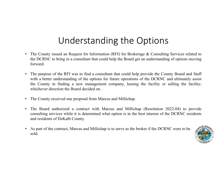# Understanding the Options

- • The County issued an Request for Information (RFI) for Brokerage & Consulting Services related to the DCRNC to bring in <sup>a</sup> consultant that could help the Board ge<sup>t</sup> an understanding of options moving forward.
- • The purpose of the RFI was to find <sup>a</sup> consultant that could help provide the County Board and Staff with a better understanding of the options for future operations of the DCRNC and ultimately assist the County in finding <sup>a</sup> new managemen<sup>t</sup> company, leasing the facility or selling the facility; whichever direction the Board decided on.
- $\bullet$ The County received one proposal from Marcus and Millichap.
- $\bullet$  The Board authorized <sup>a</sup> contract with Marcus and Millichap (Resolution 2022-04) to provide consulting services while it is determined what option is in the best interest of the DCRNC residents and residents of DeKalb County.
- • As par<sup>t</sup> of the contract, Marcus and Millichap is to serve as the broker if the DCRNC were to be sold.

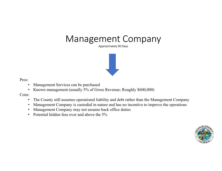#### Management Company

Approximately 90 Days



Pros:

- •Management Services can be purchased
- •Known management (usually 5% of Gross Revenue; Roughly \$600,000)

Cons:

- •The County still assumes operational liability and debt rather than the Management Company
- •Management Company is custodial in nature and has no incentive to improve the operations
- $\bullet$ Management Company may not assume back office duties
- •Potential hidden fees over and above the 5%

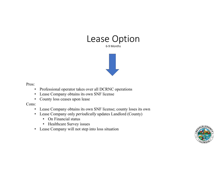

6‐9 Months



Pros:

- Professional operator takes over all DCRNC operations
- Lease Company obtains its own SNF license
- County loss ceases upon lease

Cons:

- Lease Company obtains its own SNF license; county loses its own
- Lease Company only *periodically* updates Landlord (County)
	- On Financial status
	- Healthcare Survey issues
- Lease Company will not step into loss situation

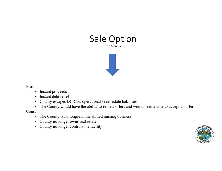

Pros:

- $\bullet$ Instant proceeds
- •Instant debt relief
- County escapes DCRNC operational / real estate liabilities
- The County would have the ability to review offers and would need a vote to accept an offer

Cons:

- The County is no longer in the skilled nursing business
- $\bullet$ County no longer owns real estate
- $\bullet$ County no longer controls the facility

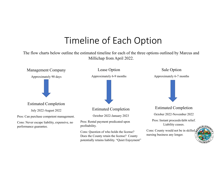## Timeline of Each Option

The flow charts below outline the estimated timeline for each of the three options outlined by Marcus and Millichap from April 2022.

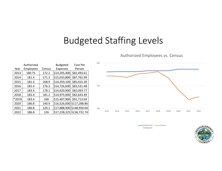# Budgeted Staffing Levels

100150 200 2013 2014 2015 2016 2017 2018 \*2019 2020 2021 2022 Budgeted Expenses Cost PerPerson

Authorized Employees vs. Census

| • Authorized | •Census |
|--------------|---------|
| Employees    |         |



| Authorized |       |                  |        | <b>Budgeted</b>           | Cost Per    |  |
|------------|-------|------------------|--------|---------------------------|-------------|--|
|            | Year  | <b>Employees</b> | Census | <b>Expenses</b>           | Person      |  |
|            | 2013  | 180.75           | 172.2  | \$14,205,400              | \$82,493.61 |  |
|            | 2014  | 181.4            | 171.3  | \$15,033,800              | \$87,762.99 |  |
|            | 2015  | 181.4            | 168.9  | \$14,359,100              | \$85,015.39 |  |
|            | 2016  | 181.4            | 176.3  | \$14,726,600              | \$83,531.48 |  |
|            | 2017  | 183.4            | 178.1  | \$14,620,900              | \$82,093.77 |  |
|            | 2018  | 183.4            | 181.2  | \$14,975,000              | \$82,643.49 |  |
|            | *2019 | 183.4            | 168    | \$15,407,900              | \$91,713.69 |  |
|            | 2020  | 186.8            | 140.9  | \$16,526,000 \$117,288.86 |             |  |
|            | 2021  | 186.8            | 120.1  | \$17,888,900 \$148,950.04 |             |  |
|            | 2022  | 186.8            | 126    | \$17,228,325 \$136,732.74 |             |  |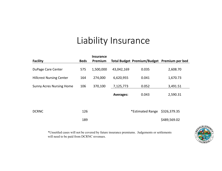## Liability Insurance

|                                 |             | <b>Insurance</b> |                  |                                             |              |
|---------------------------------|-------------|------------------|------------------|---------------------------------------------|--------------|
| <b>Facility</b>                 | <b>Beds</b> | Premium          |                  | Total Budget Premium/Budget Premium per bed |              |
| DuPage Care Center              | 575         | 1,500,000        | 43,042,169       | 0.035                                       | 2,608.70     |
| <b>Hillcrest Nursing Center</b> | 164         | 274,000          | 6,620,955        | 0.041                                       | 1,670.73     |
| <b>Sunny Acres Nursing Home</b> | 106         | 370,100          | 7,125,773        | 0.052                                       | 3,491.51     |
|                                 |             |                  | <b>Averages:</b> | 0.043                                       | 2,590.31     |
|                                 |             |                  |                  |                                             |              |
| <b>DCRNC</b>                    | 126         |                  |                  | *Estimated Range                            | \$326,379.35 |
|                                 | 189         |                  |                  |                                             | \$489,569.02 |

\*Unsettled cases will not be covered by future insurance premiums. Judgements or settlements will need to be paid from DCRNC revenues.

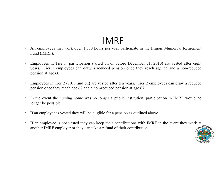## IMRF

- • All employees that work over 1,000 hours per year participate in the Illinois Municipal Retirement Fund (IMRF).
- • Employees in Tier 1 (participation started on or before December 31, 2010) are vested after eight years. Tier 1 employees can draw <sup>a</sup> reduced pension once they reach age 55 and <sup>a</sup> non-reduced pension at age 60.
- $\bullet$  Employees in Tier 2 (2011 and on) are vested after ten years. Tier 2 employees can draw <sup>a</sup> reduced pension once they reach age 62 and <sup>a</sup> non-reduced pension at age 67.
- •In the event the nursing home was no longer a public institution, participation in IMRF would no longer be possible.
- If an employee is vested they will be eligible for <sup>a</sup> pension as outlined above.
- • If an employee is not vested they can keep their contributions with IMRF in the event they work at another IMRF employer or they can take <sup>a</sup> refund of their contributions.